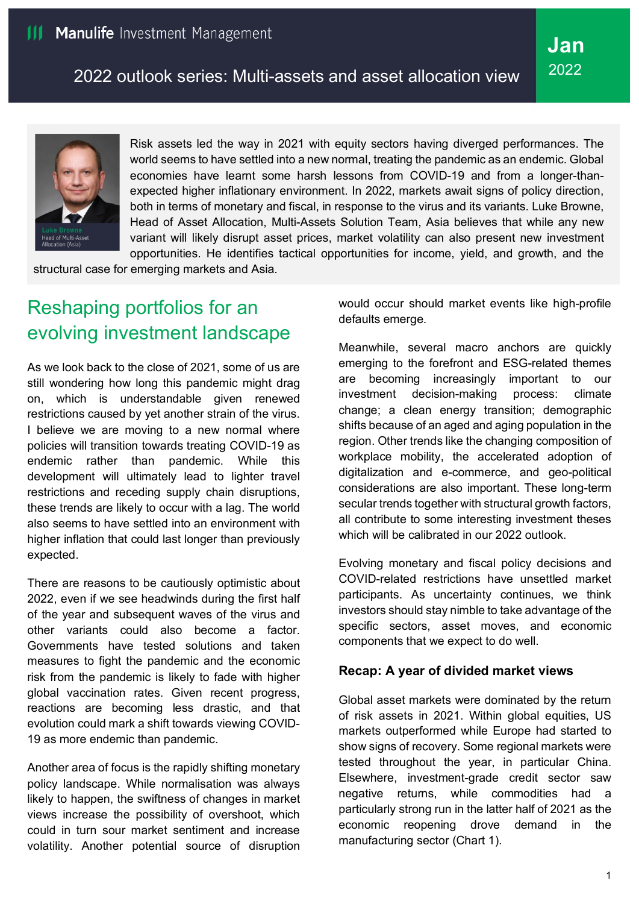

Risk assets led the way in 2021 with equity sectors having diverged performances. The world seems to have settled into a new normal, treating the pandemic as an endemic. Global economies have learnt some harsh lessons from COVID-19 and from a longer-thanexpected higher inflationary environment. In 2022, markets await signs of policy direction, both in terms of monetary and fiscal, in response to the virus and its variants. Luke Browne, Head of Asset Allocation, Multi-Assets Solution Team, Asia believes that while any new variant will likely disrupt asset prices, market volatility can also present new investment opportunities. He identifies tactical opportunities for income, yield, and growth, and the

structural case for emerging markets and Asia.

# Reshaping portfolios for an evolving investment landscape

As we look back to the close of 2021, some of us are still wondering how long this pandemic might drag on, which is understandable given renewed restrictions caused by yet another strain of the virus. I believe we are moving to a new normal where policies will transition towards treating COVID-19 as endemic rather than pandemic. While this development will ultimately lead to lighter travel restrictions and receding supply chain disruptions, these trends are likely to occur with a lag. The world also seems to have settled into an environment with higher inflation that could last longer than previously expected.

There are reasons to be cautiously optimistic about 2022, even if we see headwinds during the first half of the year and subsequent waves of the virus and other variants could also become a factor. Governments have tested solutions and taken measures to fight the pandemic and the economic risk from the pandemic is likely to fade with higher global vaccination rates. Given recent progress, reactions are becoming less drastic, and that evolution could mark a shift towards viewing COVID-19 as more endemic than pandemic.

Another area of focus is the rapidly shifting monetary policy landscape. While normalisation was always likely to happen, the swiftness of changes in market views increase the possibility of overshoot, which could in turn sour market sentiment and increase volatility. Another potential source of disruption

would occur should market events like high-profile defaults emerge.

Meanwhile, several macro anchors are quickly emerging to the forefront and ESG-related themes are becoming increasingly important to our investment decision-making process: climate change; a clean energy transition; demographic shifts because of an aged and aging population in the region. Other trends like the changing composition of workplace mobility, the accelerated adoption of digitalization and e-commerce, and geo-political considerations are also important. These long-term secular trends together with structural growth factors, all contribute to some interesting investment theses which will be calibrated in our 2022 outlook.

Evolving monetary and fiscal policy decisions and COVID-related restrictions have unsettled market participants. As uncertainty continues, we think investors should stay nimble to take advantage of the specific sectors, asset moves, and economic components that we expect to do well.

#### **Recap: A year of divided market views**

Global asset markets were dominated by the return of risk assets in 2021. Within global equities, US markets outperformed while Europe had started to show signs of recovery. Some regional markets were tested throughout the year, in particular China. Elsewhere, investment-grade credit sector saw negative returns, while commodities had a particularly strong run in the latter half of 2021 as the economic reopening drove demand in the manufacturing sector (Chart 1).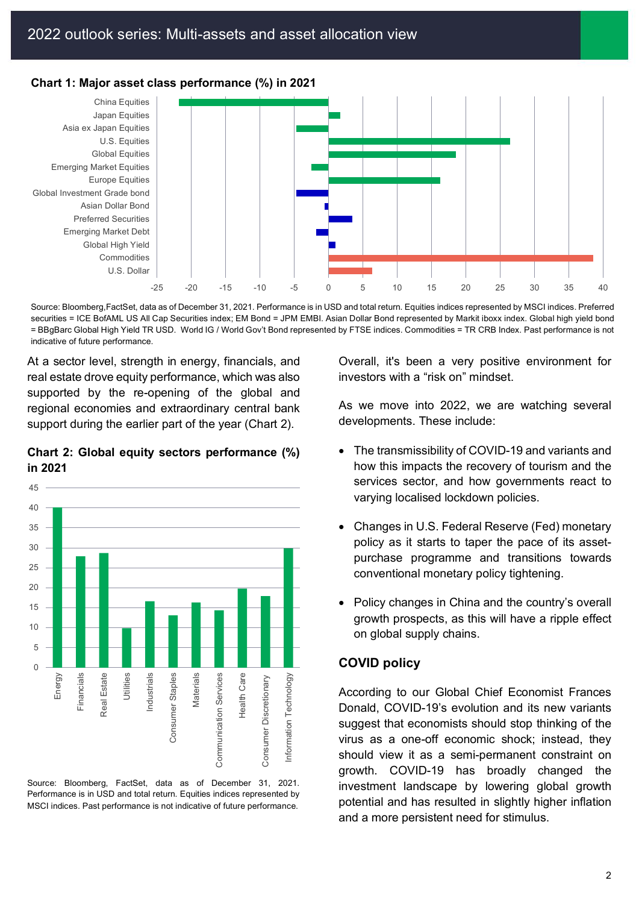

**Chart 1: Major asset class performance (%) in 2021**

Source: Bloomberg,FactSet, data as of December 31, 2021. Performance is in USD and total return. Equities indices represented by MSCI indices. Preferred securities = ICE BofAML US All Cap Securities index; EM Bond = JPM EMBI. Asian Dollar Bond represented by Markit iboxx index. Global high yield bond = BBgBarc Global High Yield TR USD. World IG / World Gov't Bond represented by FTSE indices. Commodities = TR CRB Index. Past performance is not indicative of future performance.

At a sector level, strength in energy, financials, and real estate drove equity performance, which was also supported by the re-opening of the global and regional economies and extraordinary central bank support during the earlier part of the year (Chart 2).

#### **Chart 2: Global equity sectors performance (%) in 2021**



Source: Bloomberg, FactSet, data as of December 31, 2021. Performance is in USD and total return. Equities indices represented by MSCI indices. Past performance is not indicative of future performance.

Overall, it's been a very positive environment for investors with a "risk on" mindset.

As we move into 2022, we are watching several developments. These include:

- The transmissibility of COVID-19 and variants and how this impacts the recovery of tourism and the services sector, and how governments react to varying localised lockdown policies.
- Changes in U.S. Federal Reserve (Fed) monetary policy as it starts to taper the pace of its assetpurchase programme and transitions towards conventional monetary policy tightening.
- Policy changes in China and the country's overall growth prospects, as this will have a ripple effect on global supply chains.

#### **COVID policy**

According to our Global Chief Economist Frances Donald, COVID-19's evolution and its new variants suggest that economists should stop thinking of the virus as a one-off economic shock; instead, they should view it as a semi-permanent constraint on growth. COVID-19 has broadly changed the investment landscape by lowering global growth potential and has resulted in slightly higher inflation and a more persistent need for stimulus.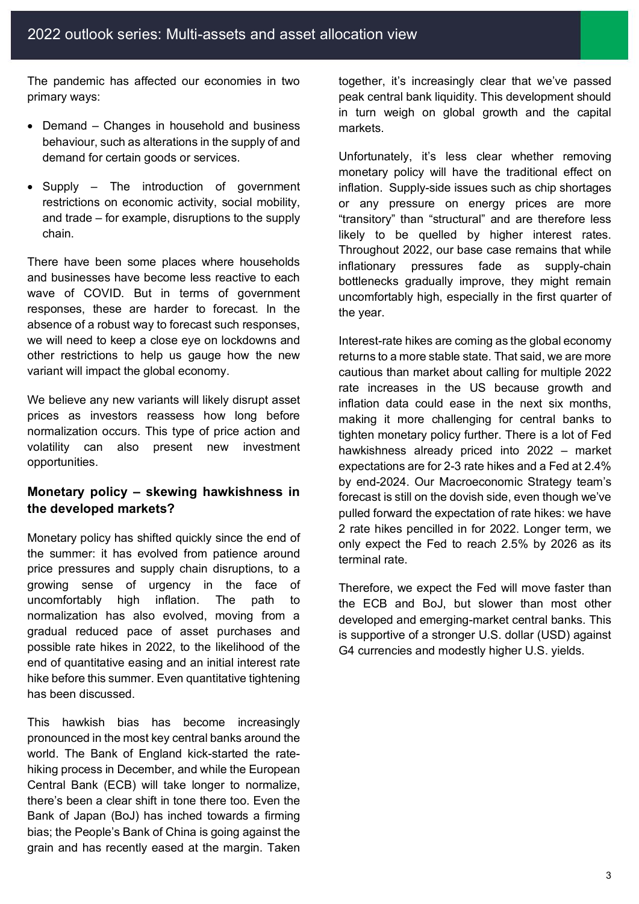The pandemic has affected our economies in two primary ways:

- Demand Changes in household and business behaviour, such as alterations in the supply of and demand for certain goods or services.
- Supply The introduction of government restrictions on economic activity, social mobility, and trade – for example, disruptions to the supply chain.

There have been some places where households and businesses have become less reactive to each wave of COVID. But in terms of government responses, these are harder to forecast. In the absence of a robust way to forecast such responses, we will need to keep a close eye on lockdowns and other restrictions to help us gauge how the new variant will impact the global economy.

We believe any new variants will likely disrupt asset prices as investors reassess how long before normalization occurs. This type of price action and volatility can also present new investment opportunities.

#### **Monetary policy – skewing hawkishness in the developed markets?**

Monetary policy has shifted quickly since the end of the summer: it has evolved from patience around price pressures and supply chain disruptions, to a growing sense of urgency in the face of uncomfortably high inflation. The path to normalization has also evolved, moving from a gradual reduced pace of asset purchases and possible rate hikes in 2022, to the likelihood of the end of quantitative easing and an initial interest rate hike before this summer. Even quantitative tightening has been discussed.

This hawkish bias has become increasingly pronounced in the most key central banks around the world. The Bank of England kick-started the ratehiking process in December, and while the European Central Bank (ECB) will take longer to normalize, there's been a clear shift in tone there too. Even the Bank of Japan (BoJ) has inched towards a firming bias; the People's Bank of China is going against the grain and has recently eased at the margin. Taken

together, it's increasingly clear that we've passed peak central bank liquidity. This development should in turn weigh on global growth and the capital markets.

Unfortunately, it's less clear whether removing monetary policy will have the traditional effect on inflation. Supply-side issues such as chip shortages or any pressure on energy prices are more "transitory" than "structural" and are therefore less likely to be quelled by higher interest rates. Throughout 2022, our base case remains that while inflationary pressures fade as supply-chain bottlenecks gradually improve, they might remain uncomfortably high, especially in the first quarter of the year.

Interest-rate hikes are coming as the global economy returns to a more stable state. That said, we are more cautious than market about calling for multiple 2022 rate increases in the US because growth and inflation data could ease in the next six months, making it more challenging for central banks to tighten monetary policy further. There is a lot of Fed hawkishness already priced into 2022 – market expectations are for 2-3 rate hikes and a Fed at 2.4% by end-2024. Our Macroeconomic Strategy team's forecast is still on the dovish side, even though we've pulled forward the expectation of rate hikes: we have 2 rate hikes pencilled in for 2022. Longer term, we only expect the Fed to reach 2.5% by 2026 as its terminal rate.

Therefore, we expect the Fed will move faster than the ECB and BoJ, but slower than most other developed and emerging-market central banks. This is supportive of a stronger U.S. dollar (USD) against G4 currencies and modestly higher U.S. yields.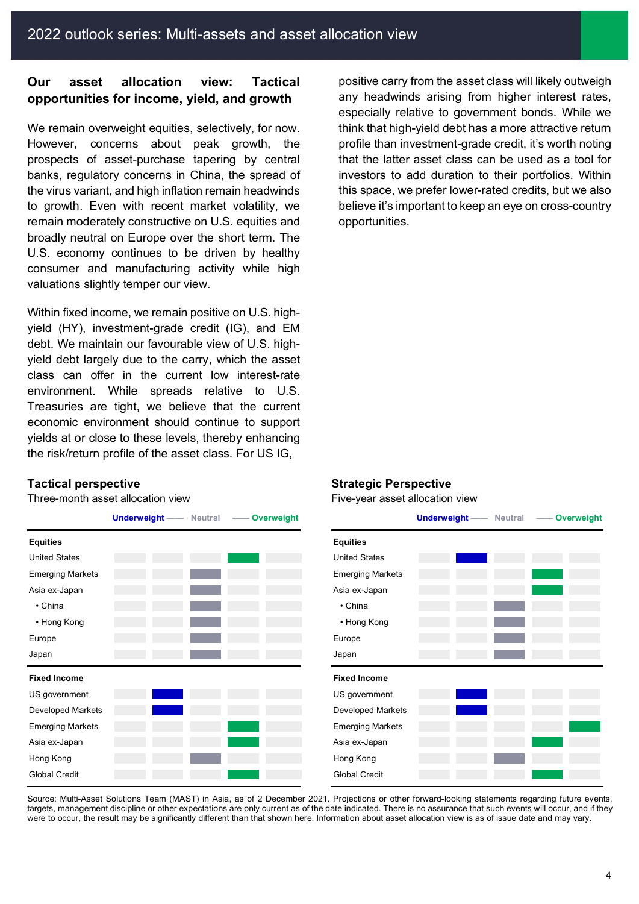## **Our asset allocation view: Tactical opportunities for income, yield, and growth**

We remain overweight equities, selectively, for now. However, concerns about peak growth, the prospects of asset-purchase tapering by central banks, regulatory concerns in China, the spread of the virus variant, and high inflation remain headwinds to growth. Even with recent market volatility, we remain moderately constructive on U.S. equities and broadly neutral on Europe over the short term. The U.S. economy continues to be driven by healthy consumer and manufacturing activity while high valuations slightly temper our view.

Within fixed income, we remain positive on U.S. highyield (HY), investment-grade credit (IG), and EM debt. We maintain our favourable view of U.S. highyield debt largely due to the carry, which the asset class can offer in the current low interest-rate environment. While spreads relative to U.S. Treasuries are tight, we believe that the current economic environment should continue to support yields at or close to these levels, thereby enhancing the risk/return profile of the asset class. For US IG,

**Equities Equities** United States **United States** United States **United States** Emerging Markets Emerging Markets Asia ex-Japan **Asia ex-Japan** Asia ex-Japan Asia ex-Japan Asia ex-Japan Asia ex-Japan Asia ex-Japan Asia ex-Japan • China • China • Hong Kong • Hong Kong Europe Europe Europe Europe Europe Europe Europe Europe Europe Europe Europe Europe Europe Europe Japan Japan **Fixed Income Fixed Income** US government US government Developed Markets **Developed Markets** Developed Markets Emerging Markets Emerging Markets Asia ex-Japan **Asia ex-Japan Asia ex-Japan Asia ex-Japan** Asia ex-Japan Asia ex-Japan Asia ex-Japan Asia ex-Japan Hong Kong Hong Kong Global Credit Global Credit

positive carry from the asset class will likely outweigh any headwinds arising from higher interest rates, especially relative to government bonds. While we think that high-yield debt has a more attractive return profile than investment-grade credit, it's worth noting that the latter asset class can be used as a tool for investors to add duration to their portfolios. Within this space, we prefer lower-rated credits, but we also believe it's important to keep an eye on cross-country opportunities.

#### **Tactical perspective Strategic Perspective**

Three-month asset allocation view example and the set of Five-year asset allocation view



Source: Multi-Asset Solutions Team (MAST) in Asia, as of 2 December 2021. Projections or other forward-looking statements regarding future events, targets, management discipline or other expectations are only current as of the date indicated. There is no assurance that such events will occur, and if they were to occur, the result may be significantly different than that shown here. Information about asset allocation view is as of issue date and may vary.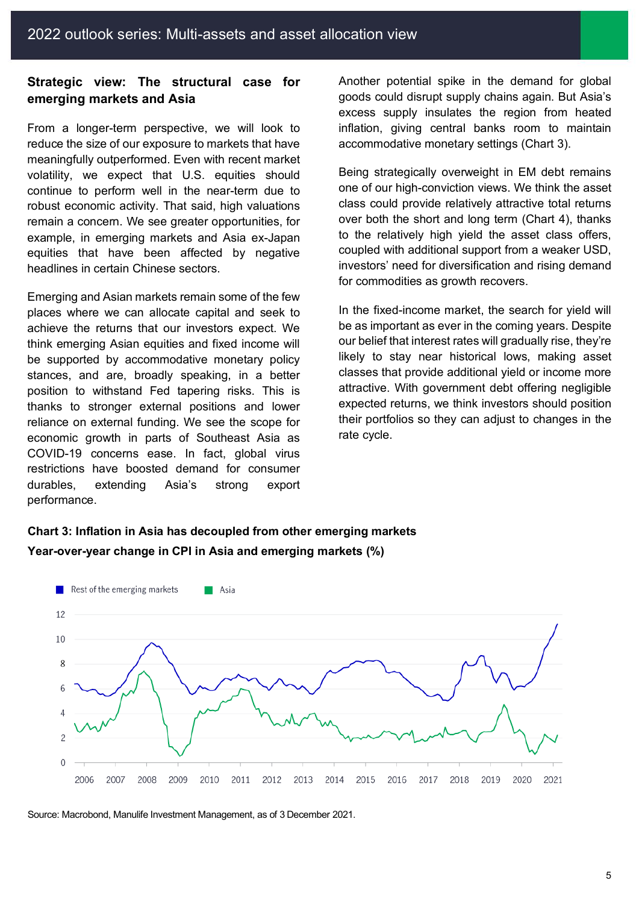### **Strategic view: The structural case for emerging markets and Asia**

From a longer-term perspective, we will look to reduce the size of our exposure to markets that have meaningfully outperformed. Even with recent market volatility, we expect that U.S. equities should continue to perform well in the near-term due to robust economic activity. That said, high valuations remain a concern. We see greater opportunities, for example, in emerging markets and Asia ex-Japan equities that have been affected by negative headlines in certain Chinese sectors.

Emerging and Asian markets remain some of the few places where we can allocate capital and seek to achieve the returns that our investors expect. We think emerging Asian equities and fixed income will be supported by accommodative monetary policy stances, and are, broadly speaking, in a better position to withstand Fed tapering risks. This is thanks to stronger external positions and lower reliance on external funding. We see the scope for economic growth in parts of Southeast Asia as COVID-19 concerns ease. In fact, global virus restrictions have boosted demand for consumer durables, extending Asia's strong export performance.

Another potential spike in the demand for global goods could disrupt supply chains again. But Asia's excess supply insulates the region from heated inflation, giving central banks room to maintain accommodative monetary settings (Chart 3).

Being strategically overweight in EM debt remains one of our high-conviction views. We think the asset class could provide relatively attractive total returns over both the short and long term (Chart 4), thanks to the relatively high yield the asset class offers, coupled with additional support from a weaker USD, investors' need for diversification and rising demand for commodities as growth recovers.

In the fixed-income market, the search for yield will be as important as ever in the coming years. Despite our belief that interest rates will gradually rise, they're likely to stay near historical lows, making asset classes that provide additional yield or income more attractive. With government debt offering negligible expected returns, we think investors should position their portfolios so they can adjust to changes in the rate cycle.

# **Chart 3: Inflation in Asia has decoupled from other emerging markets Year-over-year change in CPI in Asia and emerging markets (%)**



Source: Macrobond, Manulife Investment Management, as of 3 December 2021.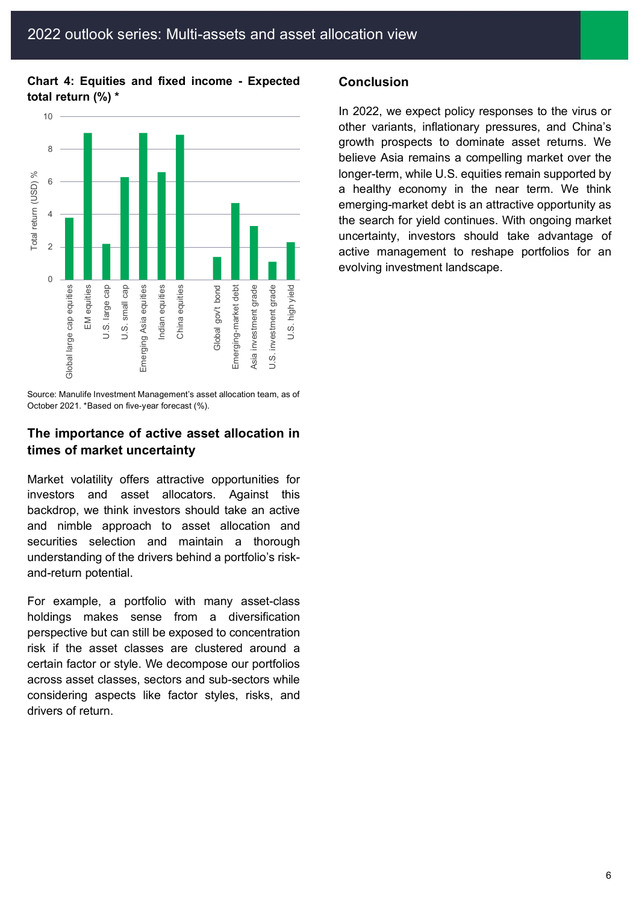#### **Chart 4: Equities and fixed income - Expected total return (%) \***



Source: Manulife Investment Management's asset allocation team, as of October 2021. \*Based on five-year forecast (%).

### **The importance of active asset allocation in times of market uncertainty**

Market volatility offers attractive opportunities for investors and asset allocators. Against this backdrop, we think investors should take an active and nimble approach to asset allocation and securities selection and maintain a thorough understanding of the drivers behind a portfolio's riskand-return potential.

For example, a portfolio with many asset-class holdings makes sense from a diversification perspective but can still be exposed to concentration risk if the asset classes are clustered around a certain factor or style. We decompose our portfolios across asset classes, sectors and sub-sectors while considering aspects like factor styles, risks, and drivers of return.

#### **Conclusion**

In 2022, we expect policy responses to the virus or other variants, inflationary pressures, and China's growth prospects to dominate asset returns. We believe Asia remains a compelling market over the longer-term, while U.S. equities remain supported by a healthy economy in the near term. We think emerging-market debt is an attractive opportunity as the search for yield continues. With ongoing market uncertainty, investors should take advantage of active management to reshape portfolios for an evolving investment landscape.